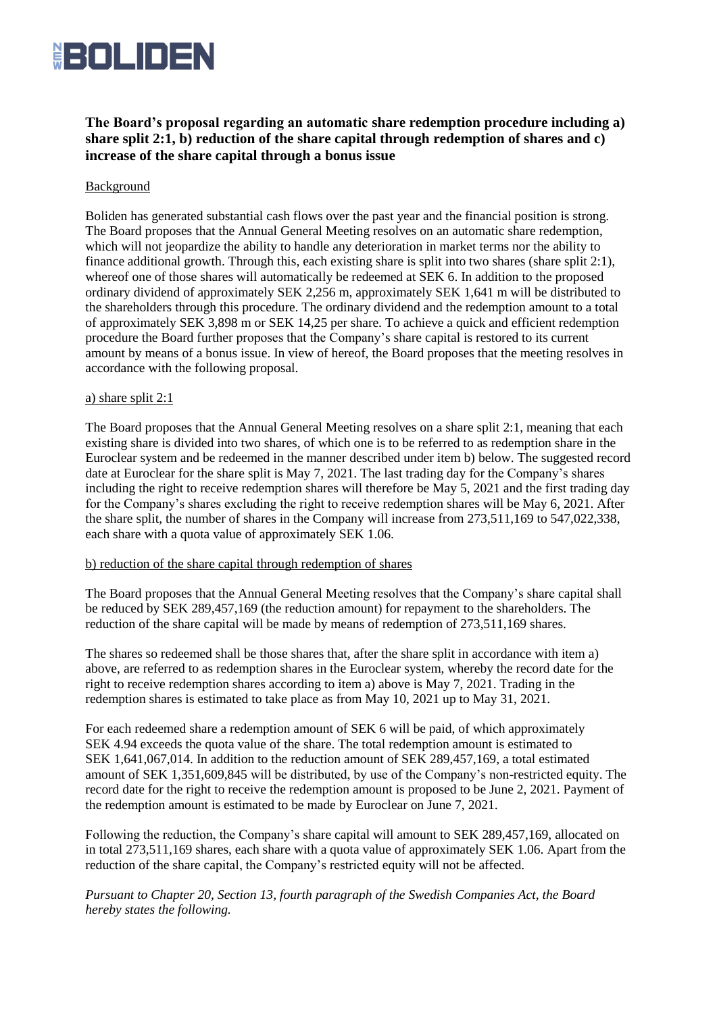

# **The Board's proposal regarding an automatic share redemption procedure including a) share split 2:1, b) reduction of the share capital through redemption of shares and c) increase of the share capital through a bonus issue**

## Background

Boliden has generated substantial cash flows over the past year and the financial position is strong. The Board proposes that the Annual General Meeting resolves on an automatic share redemption, which will not jeopardize the ability to handle any deterioration in market terms nor the ability to finance additional growth. Through this, each existing share is split into two shares (share split 2:1), whereof one of those shares will automatically be redeemed at SEK 6. In addition to the proposed ordinary dividend of approximately SEK 2,256 m, approximately SEK 1,641 m will be distributed to the shareholders through this procedure. The ordinary dividend and the redemption amount to a total of approximately SEK 3,898 m or SEK 14,25 per share. To achieve a quick and efficient redemption procedure the Board further proposes that the Company's share capital is restored to its current amount by means of a bonus issue. In view of hereof, the Board proposes that the meeting resolves in accordance with the following proposal.

### a) share split 2:1

The Board proposes that the Annual General Meeting resolves on a share split 2:1, meaning that each existing share is divided into two shares, of which one is to be referred to as redemption share in the Euroclear system and be redeemed in the manner described under item b) below. The suggested record date at Euroclear for the share split is May 7, 2021. The last trading day for the Company's shares including the right to receive redemption shares will therefore be May 5, 2021 and the first trading day for the Company's shares excluding the right to receive redemption shares will be May 6, 2021. After the share split, the number of shares in the Company will increase from 273,511,169 to 547,022,338, each share with a quota value of approximately SEK 1.06.

### b) reduction of the share capital through redemption of shares

The Board proposes that the Annual General Meeting resolves that the Company's share capital shall be reduced by SEK 289,457,169 (the reduction amount) for repayment to the shareholders. The reduction of the share capital will be made by means of redemption of 273,511,169 shares.

The shares so redeemed shall be those shares that, after the share split in accordance with item a) above, are referred to as redemption shares in the Euroclear system, whereby the record date for the right to receive redemption shares according to item a) above is May 7, 2021. Trading in the redemption shares is estimated to take place as from May 10, 2021 up to May 31, 2021.

For each redeemed share a redemption amount of SEK 6 will be paid, of which approximately SEK 4.94 exceeds the quota value of the share. The total redemption amount is estimated to SEK 1,641,067,014. In addition to the reduction amount of SEK 289,457,169, a total estimated amount of SEK 1,351,609,845 will be distributed, by use of the Company's non-restricted equity. The record date for the right to receive the redemption amount is proposed to be June 2, 2021. Payment of the redemption amount is estimated to be made by Euroclear on June 7, 2021.

Following the reduction, the Company's share capital will amount to SEK 289,457,169, allocated on in total 273,511,169 shares, each share with a quota value of approximately SEK 1.06. Apart from the reduction of the share capital, the Company's restricted equity will not be affected.

*Pursuant to Chapter 20, Section 13, fourth paragraph of the Swedish Companies Act, the Board hereby states the following.*